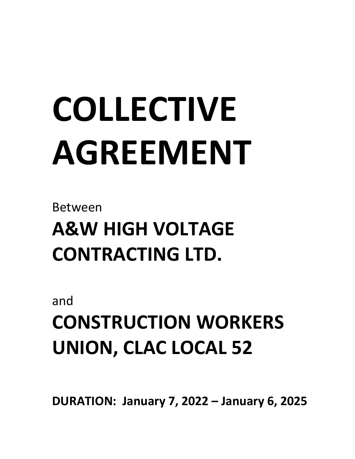# **COLLECTIVE AGREEMENT**

Between

**A&W HIGH VOLTAGE CONTRACTING LTD.**

and

**CONSTRUCTION WORKERS UNION, CLAC LOCAL 52**

**DURATION: January 7, 2022 – January 6, 2025**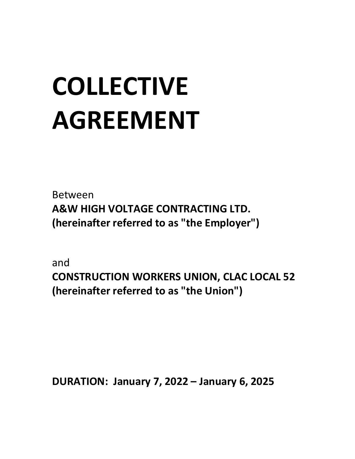# **COLLECTIVE AGREEMENT**

Between **A&W HIGH VOLTAGE CONTRACTING LTD. (hereinafter referred to as "the Employer")**

and **CONSTRUCTION WORKERS UNION, CLAC LOCAL 52 (hereinafter referred to as "the Union")**

**DURATION: January 7, 2022 – January 6, 2025**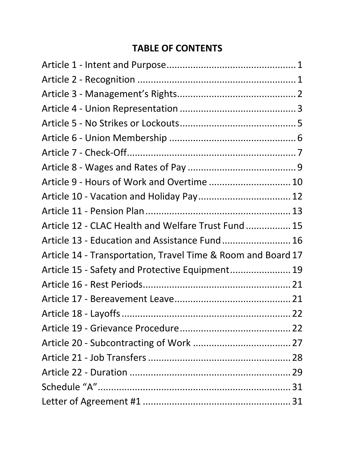#### **TABLE OF CONTENTS**

| Article 9 - Hours of Work and Overtime  10                   |  |
|--------------------------------------------------------------|--|
|                                                              |  |
|                                                              |  |
| Article 12 - CLAC Health and Welfare Trust Fund  15          |  |
| Article 13 - Education and Assistance Fund 16                |  |
| Article 14 - Transportation, Travel Time & Room and Board 17 |  |
| Article 15 - Safety and Protective Equipment 19              |  |
|                                                              |  |
|                                                              |  |
|                                                              |  |
|                                                              |  |
|                                                              |  |
|                                                              |  |
|                                                              |  |
|                                                              |  |
|                                                              |  |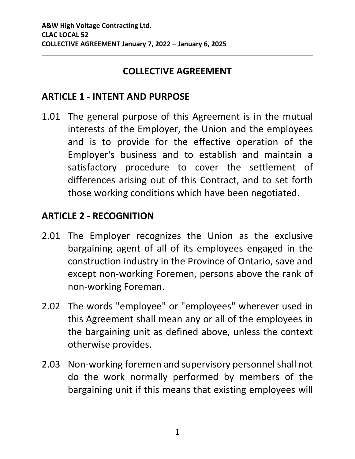#### **COLLECTIVE AGREEMENT**

#### <span id="page-3-0"></span>**ARTICLE 1 - INTENT AND PURPOSE**

1.01 The general purpose of this Agreement is in the mutual interests of the Employer, the Union and the employees and is to provide for the effective operation of the Employer's business and to establish and maintain a satisfactory procedure to cover the settlement of differences arising out of this Contract, and to set forth those working conditions which have been negotiated.

#### <span id="page-3-1"></span>**ARTICLE 2 - RECOGNITION**

- 2.01 The Employer recognizes the Union as the exclusive bargaining agent of all of its employees engaged in the construction industry in the Province of Ontario, save and except non-working Foremen, persons above the rank of non-working Foreman.
- 2.02 The words "employee" or "employees" wherever used in this Agreement shall mean any or all of the employees in the bargaining unit as defined above, unless the context otherwise provides.
- 2.03 Non-working foremen and supervisory personnel shall not do the work normally performed by members of the bargaining unit if this means that existing employees will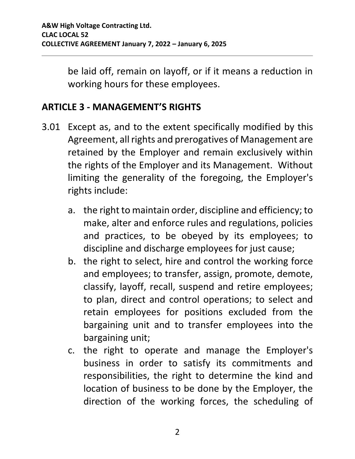be laid off, remain on layoff, or if it means a reduction in working hours for these employees.

#### <span id="page-4-0"></span>**ARTICLE 3 - MANAGEMENT'S RIGHTS**

- 3.01 Except as, and to the extent specifically modified by this Agreement, all rights and prerogatives of Management are retained by the Employer and remain exclusively within the rights of the Employer and its Management. Without limiting the generality of the foregoing, the Employer's rights include:
	- a. the right to maintain order, discipline and efficiency; to make, alter and enforce rules and regulations, policies and practices, to be obeyed by its employees; to discipline and discharge employees for just cause;
	- b. the right to select, hire and control the working force and employees; to transfer, assign, promote, demote, classify, layoff, recall, suspend and retire employees; to plan, direct and control operations; to select and retain employees for positions excluded from the bargaining unit and to transfer employees into the bargaining unit;
	- c. the right to operate and manage the Employer's business in order to satisfy its commitments and responsibilities, the right to determine the kind and location of business to be done by the Employer, the direction of the working forces, the scheduling of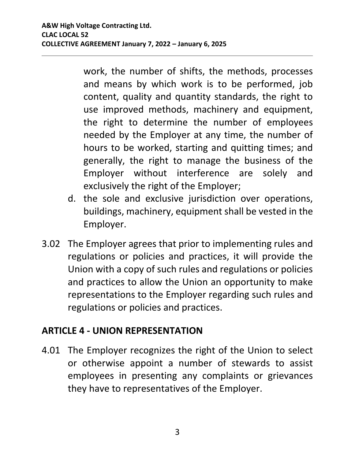work, the number of shifts, the methods, processes and means by which work is to be performed, job content, quality and quantity standards, the right to use improved methods, machinery and equipment, the right to determine the number of employees needed by the Employer at any time, the number of hours to be worked, starting and quitting times; and generally, the right to manage the business of the Employer without interference are solely and exclusively the right of the Employer;

- d. the sole and exclusive jurisdiction over operations, buildings, machinery, equipment shall be vested in the Employer.
- 3.02 The Employer agrees that prior to implementing rules and regulations or policies and practices, it will provide the Union with a copy of such rules and regulations or policies and practices to allow the Union an opportunity to make representations to the Employer regarding such rules and regulations or policies and practices.

#### <span id="page-5-0"></span>**ARTICLE 4 - UNION REPRESENTATION**

<span id="page-5-1"></span>4.01 The Employer recognizes the right of the Union to select or otherwise appoint a number of stewards to assist employees in presenting any complaints or grievances they have to representatives of the Employer.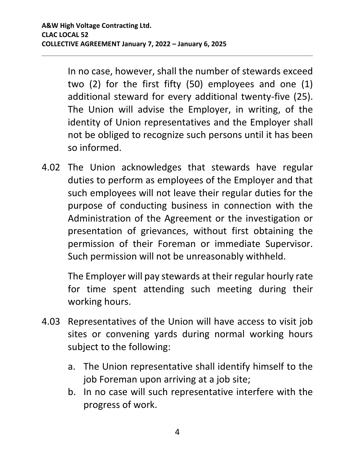In no case, however, shall the number of stewards exceed two (2) for the first fifty (50) employees and one (1) additional steward for every additional twenty-five (25). The Union will advise the Employer, in writing, of the identity of Union representatives and the Employer shall not be obliged to recognize such persons until it has been so informed.

4.02 The Union acknowledges that stewards have regular duties to perform as employees of the Employer and that such employees will not leave their regular duties for the purpose of conducting business in connection with the Administration of the Agreement or the investigation or presentation of grievances, without first obtaining the permission of their Foreman or immediate Supervisor. Such permission will not be unreasonably withheld.

The Employer will pay stewards at their regular hourly rate for time spent attending such meeting during their working hours.

- 4.03 Representatives of the Union will have access to visit job sites or convening yards during normal working hours subject to the following:
	- a. The Union representative shall identify himself to the job Foreman upon arriving at a job site;
	- b. In no case will such representative interfere with the progress of work.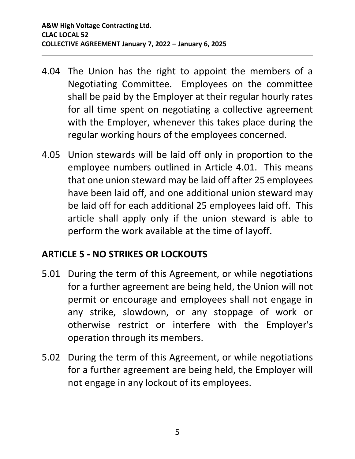- 4.04 The Union has the right to appoint the members of a Negotiating Committee. Employees on the committee shall be paid by the Employer at their regular hourly rates for all time spent on negotiating a collective agreement with the Employer, whenever this takes place during the regular working hours of the employees concerned.
- 4.05 Union stewards will be laid off only in proportion to the employee numbers outlined in Article [4.01.](#page-5-1) This means that one union steward may be laid off after 25 employees have been laid off, and one additional union steward may be laid off for each additional 25 employees laid off. This article shall apply only if the union steward is able to perform the work available at the time of layoff.

#### <span id="page-7-0"></span>**ARTICLE 5 - NO STRIKES OR LOCKOUTS**

- 5.01 During the term of this Agreement, or while negotiations for a further agreement are being held, the Union will not permit or encourage and employees shall not engage in any strike, slowdown, or any stoppage of work or otherwise restrict or interfere with the Employer's operation through its members.
- 5.02 During the term of this Agreement, or while negotiations for a further agreement are being held, the Employer will not engage in any lockout of its employees.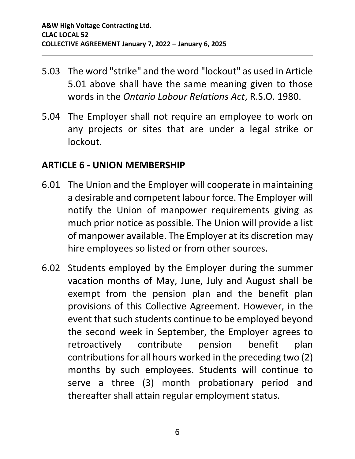- 5.03 The word "strike" and the word "lockout" as used in Article 5.01 above shall have the same meaning given to those words in the *Ontario Labour Relations Act*, R.S.O. 1980.
- 5.04 The Employer shall not require an employee to work on any projects or sites that are under a legal strike or lockout.

#### <span id="page-8-0"></span>**ARTICLE 6 - UNION MEMBERSHIP**

- 6.01 The Union and the Employer will cooperate in maintaining a desirable and competent labour force. The Employer will notify the Union of manpower requirements giving as much prior notice as possible. The Union will provide a list of manpower available. The Employer at its discretion may hire employees so listed or from other sources.
- 6.02 Students employed by the Employer during the summer vacation months of May, June, July and August shall be exempt from the pension plan and the benefit plan provisions of this Collective Agreement. However, in the event that such students continue to be employed beyond the second week in September, the Employer agrees to retroactively contribute pension benefit plan contributions for all hours worked in the preceding two (2) months by such employees. Students will continue to serve a three (3) month probationary period and thereafter shall attain regular employment status.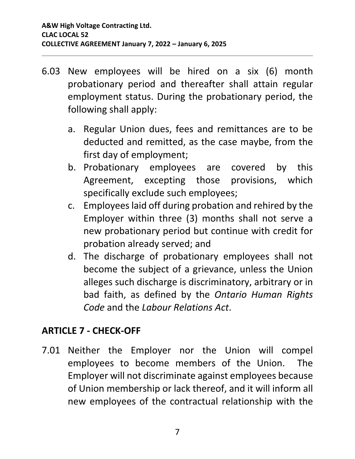- 6.03 New employees will be hired on a six (6) month probationary period and thereafter shall attain regular employment status. During the probationary period, the following shall apply:
	- a. Regular Union dues, fees and remittances are to be deducted and remitted, as the case maybe, from the first day of employment;
	- b. Probationary employees are covered by this Agreement, excepting those provisions, which specifically exclude such employees;
	- c. Employees laid off during probation and rehired by the Employer within three (3) months shall not serve a new probationary period but continue with credit for probation already served; and
	- d. The discharge of probationary employees shall not become the subject of a grievance, unless the Union alleges such discharge is discriminatory, arbitrary or in bad faith, as defined by the *Ontario Human Rights Code* and the *Labour Relations Act*.

#### <span id="page-9-0"></span>**ARTICLE 7 - CHECK-OFF**

7.01 Neither the Employer nor the Union will compel employees to become members of the Union. The Employer will not discriminate against employees because of Union membership or lack thereof, and it will inform all new employees of the contractual relationship with the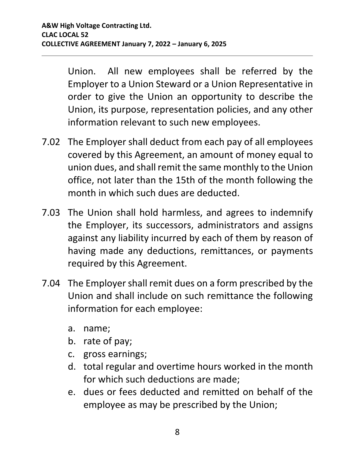Union. All new employees shall be referred by the Employer to a Union Steward or a Union Representative in order to give the Union an opportunity to describe the Union, its purpose, representation policies, and any other information relevant to such new employees.

- 7.02 The Employer shall deduct from each pay of all employees covered by this Agreement, an amount of money equal to union dues, and shall remit the same monthly to the Union office, not later than the 15th of the month following the month in which such dues are deducted.
- 7.03 The Union shall hold harmless, and agrees to indemnify the Employer, its successors, administrators and assigns against any liability incurred by each of them by reason of having made any deductions, remittances, or payments required by this Agreement.
- <span id="page-10-0"></span>7.04 The Employer shall remit dues on a form prescribed by the Union and shall include on such remittance the following information for each employee:
	- a. name;
	- b. rate of pay;
	- c. gross earnings;
	- d. total regular and overtime hours worked in the month for which such deductions are made;
	- e. dues or fees deducted and remitted on behalf of the employee as may be prescribed by the Union;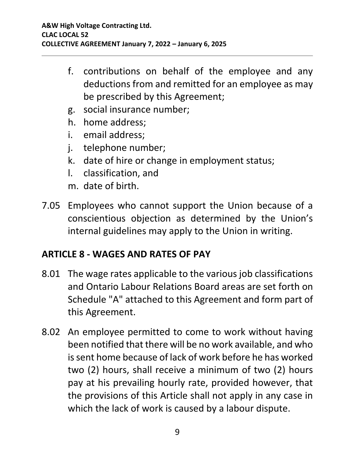- f. contributions on behalf of the employee and any deductions from and remitted for an employee as may be prescribed by this Agreement;
- g. social insurance number;
- h. home address;
- i. email address;
- j. telephone number;
- k. date of hire or change in employment status;
- l. classification, and
- m. date of birth.
- 7.05 Employees who cannot support the Union because of a conscientious objection as determined by the Union's internal guidelines may apply to the Union in writing.

#### <span id="page-11-0"></span>**ARTICLE 8 - WAGES AND RATES OF PAY**

- 8.01 The wage rates applicable to the various job classifications and Ontario Labour Relations Board areas are set forth on Schedule "A" attached to this Agreement and form part of this Agreement.
- 8.02 An employee permitted to come to work without having been notified that there will be no work available, and who is sent home because of lack of work before he has worked two (2) hours, shall receive a minimum of two (2) hours pay at his prevailing hourly rate, provided however, that the provisions of this Article shall not apply in any case in which the lack of work is caused by a labour dispute.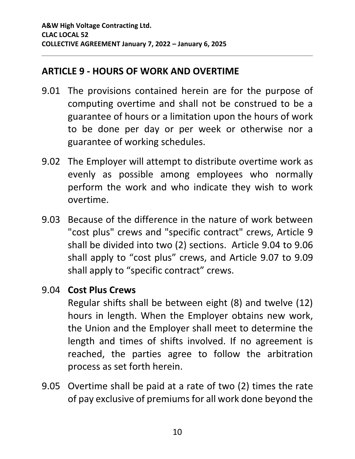#### <span id="page-12-0"></span>**ARTICLE 9 - HOURS OF WORK AND OVERTIME**

- 9.01 The provisions contained herein are for the purpose of computing overtime and shall not be construed to be a guarantee of hours or a limitation upon the hours of work to be done per day or per week or otherwise nor a guarantee of working schedules.
- 9.02 The Employer will attempt to distribute overtime work as evenly as possible among employees who normally perform the work and who indicate they wish to work overtime.
- 9.03 Because of the difference in the nature of work between "cost plus" crews and "specific contract" crews, Article 9 shall be divided into two (2) sections. Article [9.04](#page-12-1) to [9.06](#page-13-0) shall apply to "cost plus" crews, and Article [9.07](#page-13-1) to [9.09](#page-13-2) shall apply to "specific contract" crews.

#### <span id="page-12-1"></span>9.04 **Cost Plus Crews**

Regular shifts shall be between eight (8) and twelve (12) hours in length. When the Employer obtains new work, the Union and the Employer shall meet to determine the length and times of shifts involved. If no agreement is reached, the parties agree to follow the arbitration process as set forth herein.

9.05 Overtime shall be paid at a rate of two (2) times the rate of pay exclusive of premiums for all work done beyond the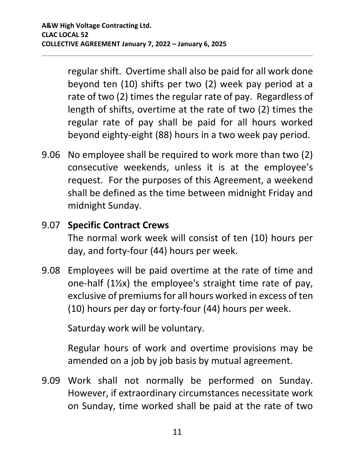regular shift. Overtime shall also be paid for all work done beyond ten (10) shifts per two (2) week pay period at a rate of two (2) times the regular rate of pay. Regardless of length of shifts, overtime at the rate of two (2) times the regular rate of pay shall be paid for all hours worked beyond eighty-eight (88) hours in a two week pay period.

<span id="page-13-0"></span>9.06 No employee shall be required to work more than two (2) consecutive weekends, unless it is at the employee's request. For the purposes of this Agreement, a weekend shall be defined as the time between midnight Friday and midnight Sunday.

#### <span id="page-13-1"></span>9.07 **Specific Contract Crews**

The normal work week will consist of ten (10) hours per day, and forty-four (44) hours per week.

9.08 Employees will be paid overtime at the rate of time and one-half (1½x) the employee's straight time rate of pay, exclusive of premiums for all hours worked in excess of ten (10) hours per day or forty-four (44) hours per week.

Saturday work will be voluntary.

Regular hours of work and overtime provisions may be amended on a job by job basis by mutual agreement.

<span id="page-13-2"></span>9.09 Work shall not normally be performed on Sunday. However, if extraordinary circumstances necessitate work on Sunday, time worked shall be paid at the rate of two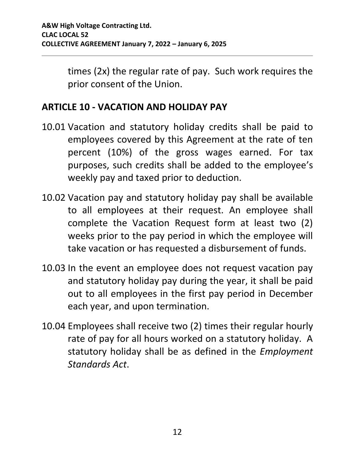times (2x) the regular rate of pay. Such work requires the prior consent of the Union.

#### <span id="page-14-0"></span>**ARTICLE 10 - VACATION AND HOLIDAY PAY**

- 10.01 Vacation and statutory holiday credits shall be paid to employees covered by this Agreement at the rate of ten percent (10%) of the gross wages earned. For tax purposes, such credits shall be added to the employee's weekly pay and taxed prior to deduction.
- 10.02 Vacation pay and statutory holiday pay shall be available to all employees at their request. An employee shall complete the Vacation Request form at least two (2) weeks prior to the pay period in which the employee will take vacation or has requested a disbursement of funds.
- 10.03 In the event an employee does not request vacation pay and statutory holiday pay during the year, it shall be paid out to all employees in the first pay period in December each year, and upon termination.
- 10.04 Employees shall receive two (2) times their regular hourly rate of pay for all hours worked on a statutory holiday. A statutory holiday shall be as defined in the *Employment Standards Act*.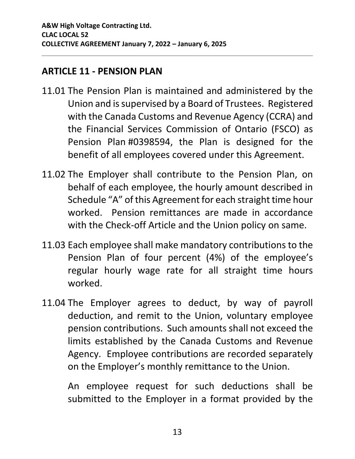#### <span id="page-15-0"></span>**ARTICLE 11 - PENSION PLAN**

- 11.01 The Pension Plan is maintained and administered by the Union and is supervised by a Board of Trustees. Registered with the Canada Customs and Revenue Agency (CCRA) and the Financial Services Commission of Ontario (FSCO) as Pension Plan #0398594, the Plan is designed for the benefit of all employees covered under this Agreement.
- 11.02 The Employer shall contribute to the Pension Plan, on behalf of each employee, the hourly amount described in Schedule "A" of this Agreement for each straight time hour worked. Pension remittances are made in accordance with the Check-off Article and the Union policy on same.
- 11.03 Each employee shall make mandatory contributions to the Pension Plan of four percent (4%) of the employee's regular hourly wage rate for all straight time hours worked.
- 11.04 The Employer agrees to deduct, by way of payroll deduction, and remit to the Union, voluntary employee pension contributions. Such amounts shall not exceed the limits established by the Canada Customs and Revenue Agency. Employee contributions are recorded separately on the Employer's monthly remittance to the Union.

An employee request for such deductions shall be submitted to the Employer in a format provided by the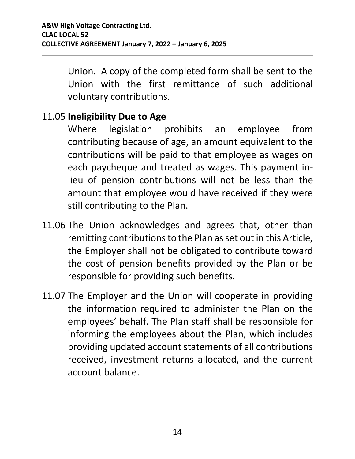Union. A copy of the completed form shall be sent to the Union with the first remittance of such additional voluntary contributions.

#### 11.05 **Ineligibility Due to Age**

Where legislation prohibits an employee from contributing because of age, an amount equivalent to the contributions will be paid to that employee as wages on each paycheque and treated as wages. This payment inlieu of pension contributions will not be less than the amount that employee would have received if they were still contributing to the Plan.

- 11.06 The Union acknowledges and agrees that, other than remitting contributions to the Plan as set out in this Article, the Employer shall not be obligated to contribute toward the cost of pension benefits provided by the Plan or be responsible for providing such benefits.
- 11.07 The Employer and the Union will cooperate in providing the information required to administer the Plan on the employees' behalf. The Plan staff shall be responsible for informing the employees about the Plan, which includes providing updated account statements of all contributions received, investment returns allocated, and the current account balance.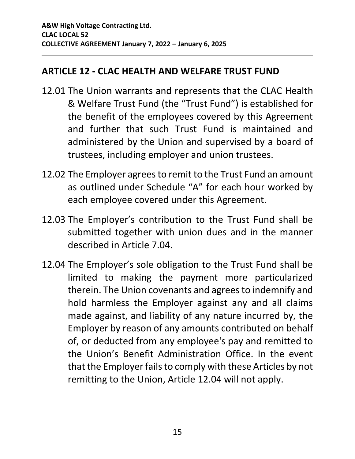#### <span id="page-17-0"></span>**ARTICLE 12 - CLAC HEALTH AND WELFARE TRUST FUND**

- 12.01 The Union warrants and represents that the CLAC Health & Welfare Trust Fund (the "Trust Fund") is established for the benefit of the employees covered by this Agreement and further that such Trust Fund is maintained and administered by the Union and supervised by a board of trustees, including employer and union trustees.
- 12.02 The Employer agrees to remit to the Trust Fund an amount as outlined under Schedule "A" for each hour worked by each employee covered under this Agreement.
- 12.03 The Employer's contribution to the Trust Fund shall be submitted together with union dues and in the manner described in Article [7.04.](#page-10-0)
- 12.04 The Employer's sole obligation to the Trust Fund shall be limited to making the payment more particularized therein. The Union covenants and agrees to indemnify and hold harmless the Employer against any and all claims made against, and liability of any nature incurred by, the Employer by reason of any amounts contributed on behalf of, or deducted from any employee's pay and remitted to the Union's Benefit Administration Office. In the event that the Employer fails to comply with these Articles by not remitting to the Union, Article 12.04 will not apply.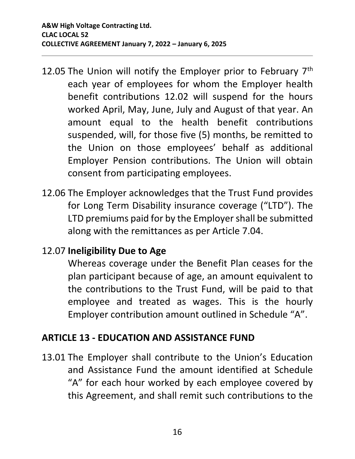- 12.05 The Union will notify the Employer prior to February 7<sup>th</sup> each year of employees for whom the Employer health benefit contributions 12.02 will suspend for the hours worked April, May, June, July and August of that year. An amount equal to the health benefit contributions suspended, will, for those five (5) months, be remitted to the Union on those employees' behalf as additional Employer Pension contributions. The Union will obtain consent from participating employees.
- 12.06 The Employer acknowledges that the Trust Fund provides for Long Term Disability insurance coverage ("LTD"). The LTD premiums paid for by the Employer shall be submitted along with the remittances as per Article [7.04.](#page-10-0)

#### 12.07 **Ineligibility Due to Age**

Whereas coverage under the Benefit Plan ceases for the plan participant because of age, an amount equivalent to the contributions to the Trust Fund, will be paid to that employee and treated as wages. This is the hourly Employer contribution amount outlined in Schedule "A".

#### <span id="page-18-0"></span>**ARTICLE 13 - EDUCATION AND ASSISTANCE FUND**

13.01 The Employer shall contribute to the Union's Education and Assistance Fund the amount identified at Schedule "A" for each hour worked by each employee covered by this Agreement, and shall remit such contributions to the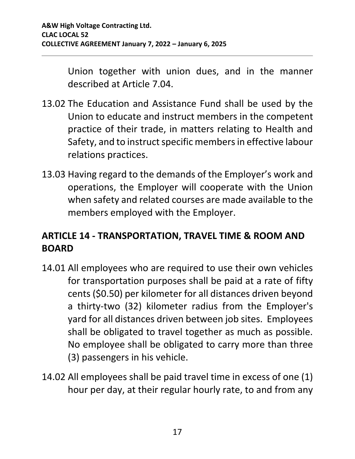Union together with union dues, and in the manner described at Article [7.04.](#page-10-0)

- 13.02 The Education and Assistance Fund shall be used by the Union to educate and instruct members in the competent practice of their trade, in matters relating to Health and Safety, and to instruct specific members in effective labour relations practices.
- 13.03 Having regard to the demands of the Employer's work and operations, the Employer will cooperate with the Union when safety and related courses are made available to the members employed with the Employer.

#### <span id="page-19-0"></span>**ARTICLE 14 - TRANSPORTATION, TRAVEL TIME & ROOM AND BOARD**

- <span id="page-19-1"></span>14.01 All employees who are required to use their own vehicles for transportation purposes shall be paid at a rate of fifty cents (\$0.50) per kilometer for all distances driven beyond a thirty-two (32) kilometer radius from the Employer's yard for all distances driven between job sites. Employees shall be obligated to travel together as much as possible. No employee shall be obligated to carry more than three (3) passengers in his vehicle.
- <span id="page-19-2"></span>14.02 All employees shall be paid travel time in excess of one (1) hour per day, at their regular hourly rate, to and from any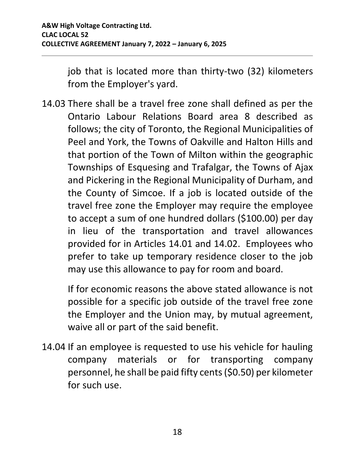job that is located more than thirty-two (32) kilometers from the Employer's yard.

14.03 There shall be a travel free zone shall defined as per the Ontario Labour Relations Board area 8 described as follows; the city of Toronto, the Regional Municipalities of Peel and York, the Towns of Oakville and Halton Hills and that portion of the Town of Milton within the geographic Townships of Esquesing and Trafalgar, the Towns of Ajax and Pickering in the Regional Municipality of Durham, and the County of Simcoe. If a job is located outside of the travel free zone the Employer may require the employee to accept a sum of one hundred dollars (\$100.00) per day in lieu of the transportation and travel allowances provided for in Articles [14.01](#page-19-1) and [14.02.](#page-19-2) Employees who prefer to take up temporary residence closer to the job may use this allowance to pay for room and board.

If for economic reasons the above stated allowance is not possible for a specific job outside of the travel free zone the Employer and the Union may, by mutual agreement, waive all or part of the said benefit.

14.04 If an employee is requested to use his vehicle for hauling company materials or for transporting company personnel, he shall be paid fifty cents (\$0.50) per kilometer for such use.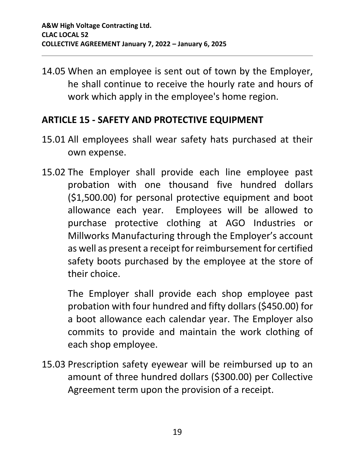14.05 When an employee is sent out of town by the Employer, he shall continue to receive the hourly rate and hours of work which apply in the employee's home region.

#### <span id="page-21-0"></span>**ARTICLE 15 - SAFETY AND PROTECTIVE EQUIPMENT**

- 15.01 All employees shall wear safety hats purchased at their own expense.
- 15.02 The Employer shall provide each line employee past probation with one thousand five hundred dollars (\$1,500.00) for personal protective equipment and boot allowance each year. Employees will be allowed to purchase protective clothing at AGO Industries or Millworks Manufacturing through the Employer's account as well as present a receipt for reimbursement for certified safety boots purchased by the employee at the store of their choice.

The Employer shall provide each shop employee past probation with four hundred and fifty dollars (\$450.00) for a boot allowance each calendar year. The Employer also commits to provide and maintain the work clothing of each shop employee.

15.03 Prescription safety eyewear will be reimbursed up to an amount of three hundred dollars (\$300.00) per Collective Agreement term upon the provision of a receipt.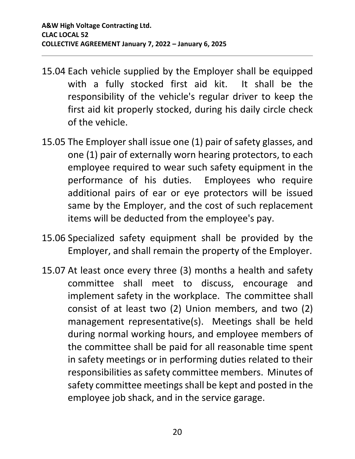- 15.04 Each vehicle supplied by the Employer shall be equipped with a fully stocked first aid kit. It shall be the responsibility of the vehicle's regular driver to keep the first aid kit properly stocked, during his daily circle check of the vehicle.
- 15.05 The Employer shall issue one (1) pair of safety glasses, and one (1) pair of externally worn hearing protectors, to each employee required to wear such safety equipment in the performance of his duties. Employees who require additional pairs of ear or eye protectors will be issued same by the Employer, and the cost of such replacement items will be deducted from the employee's pay.
- 15.06 Specialized safety equipment shall be provided by the Employer, and shall remain the property of the Employer.
- 15.07 At least once every three (3) months a health and safety committee shall meet to discuss, encourage and implement safety in the workplace. The committee shall consist of at least two (2) Union members, and two (2) management representative(s). Meetings shall be held during normal working hours, and employee members of the committee shall be paid for all reasonable time spent in safety meetings or in performing duties related to their responsibilities as safety committee members. Minutes of safety committee meetings shall be kept and posted in the employee job shack, and in the service garage.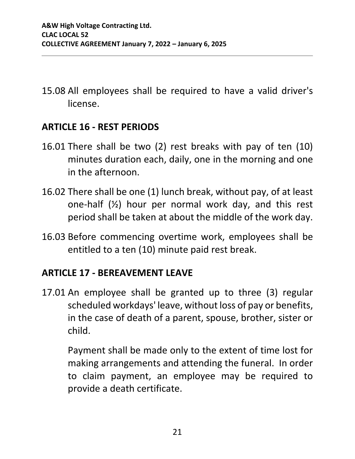15.08 All employees shall be required to have a valid driver's license.

#### <span id="page-23-0"></span>**ARTICLE 16 - REST PERIODS**

- 16.01 There shall be two (2) rest breaks with pay of ten (10) minutes duration each, daily, one in the morning and one in the afternoon.
- 16.02 There shall be one (1) lunch break, without pay, of at least one-half (½) hour per normal work day, and this rest period shall be taken at about the middle of the work day.
- 16.03 Before commencing overtime work, employees shall be entitled to a ten (10) minute paid rest break.

#### <span id="page-23-1"></span>**ARTICLE 17 - BEREAVEMENT LEAVE**

17.01 An employee shall be granted up to three (3) regular scheduled workdays' leave, without loss of pay or benefits, in the case of death of a parent, spouse, brother, sister or child.

Payment shall be made only to the extent of time lost for making arrangements and attending the funeral. In order to claim payment, an employee may be required to provide a death certificate.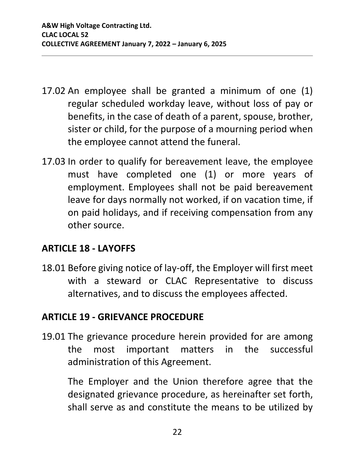- 17.02 An employee shall be granted a minimum of one (1) regular scheduled workday leave, without loss of pay or benefits, in the case of death of a parent, spouse, brother, sister or child, for the purpose of a mourning period when the employee cannot attend the funeral.
- 17.03 In order to qualify for bereavement leave, the employee must have completed one (1) or more years of employment. Employees shall not be paid bereavement leave for days normally not worked, if on vacation time, if on paid holidays, and if receiving compensation from any other source.

#### <span id="page-24-0"></span>**ARTICLE 18 - LAYOFFS**

18.01 Before giving notice of lay-off, the Employer will first meet with a steward or CLAC Representative to discuss alternatives, and to discuss the employees affected.

#### <span id="page-24-1"></span>**ARTICLE 19 - GRIEVANCE PROCEDURE**

19.01 The grievance procedure herein provided for are among the most important matters in the successful administration of this Agreement.

The Employer and the Union therefore agree that the designated grievance procedure, as hereinafter set forth, shall serve as and constitute the means to be utilized by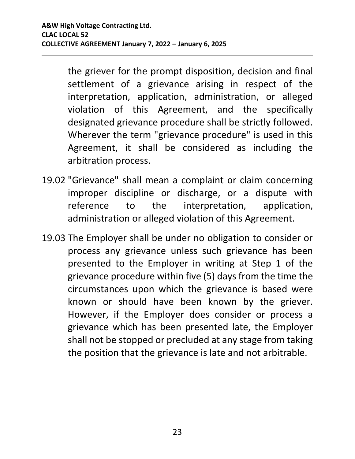the griever for the prompt disposition, decision and final settlement of a grievance arising in respect of the interpretation, application, administration, or alleged violation of this Agreement, and the specifically designated grievance procedure shall be strictly followed. Wherever the term "grievance procedure" is used in this Agreement, it shall be considered as including the arbitration process.

- 19.02 "Grievance" shall mean a complaint or claim concerning improper discipline or discharge, or a dispute with reference to the interpretation, application, administration or alleged violation of this Agreement.
- <span id="page-25-0"></span>19.03 The Employer shall be under no obligation to consider or process any grievance unless such grievance has been presented to the Employer in writing at Step 1 of the grievance procedure within five (5) days from the time the circumstances upon which the grievance is based were known or should have been known by the griever. However, if the Employer does consider or process a grievance which has been presented late, the Employer shall not be stopped or precluded at any stage from taking the position that the grievance is late and not arbitrable.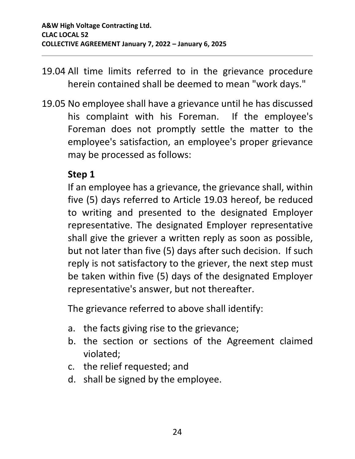- 19.04 All time limits referred to in the grievance procedure herein contained shall be deemed to mean "work days."
- <span id="page-26-0"></span>19.05 No employee shall have a grievance until he has discussed his complaint with his Foreman. If the employee's Foreman does not promptly settle the matter to the employee's satisfaction, an employee's proper grievance may be processed as follows:

#### **Step 1**

If an employee has a grievance, the grievance shall, within five (5) days referred to Article [19.03](#page-25-0) hereof, be reduced to writing and presented to the designated Employer representative. The designated Employer representative shall give the griever a written reply as soon as possible, but not later than five (5) days after such decision. If such reply is not satisfactory to the griever, the next step must be taken within five (5) days of the designated Employer representative's answer, but not thereafter.

The grievance referred to above shall identify:

- a. the facts giving rise to the grievance;
- b. the section or sections of the Agreement claimed violated;
- c. the relief requested; and
- d. shall be signed by the employee.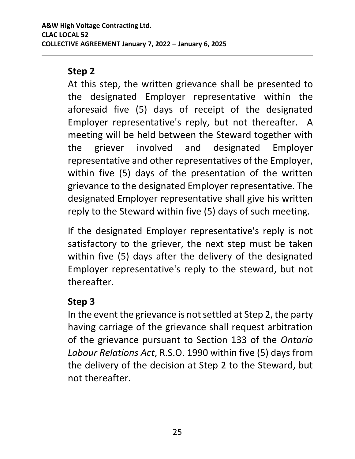#### **Step 2**

At this step, the written grievance shall be presented to the designated Employer representative within the aforesaid five (5) days of receipt of the designated Employer representative's reply, but not thereafter. A meeting will be held between the Steward together with the griever involved and designated Employer representative and other representatives of the Employer, within five (5) days of the presentation of the written grievance to the designated Employer representative. The designated Employer representative shall give his written reply to the Steward within five (5) days of such meeting.

If the designated Employer representative's reply is not satisfactory to the griever, the next step must be taken within five (5) days after the delivery of the designated Employer representative's reply to the steward, but not thereafter.

#### **Step 3**

In the event the grievance is not settled at Step 2, the party having carriage of the grievance shall request arbitration of the grievance pursuant to Section 133 of the *Ontario Labour Relations Act*, R.S.O. 1990 within five (5) days from the delivery of the decision at Step 2 to the Steward, but not thereafter.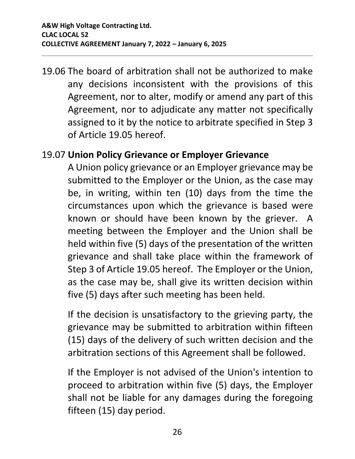19.06 The board of arbitration shall not be authorized to make any decisions inconsistent with the provisions of this Agreement, nor to alter, modify or amend any part of this Agreement, nor to adjudicate any matter not specifically assigned to it by the notice to arbitrate specified in Step 3 of Article [19.05](#page-26-0) hereof.

#### 19.07 **Union Policy Grievance or Employer Grievance**

A Union policy grievance or an Employer grievance may be submitted to the Employer or the Union, as the case may be, in writing, within ten (10) days from the time the circumstances upon which the grievance is based were known or should have been known by the griever. A meeting between the Employer and the Union shall be held within five (5) days of the presentation of the written grievance and shall take place within the framework of Step 3 of Article [19.05](#page-26-0) hereof. The Employer or the Union, as the case may be, shall give its written decision within five (5) days after such meeting has been held.

If the decision is unsatisfactory to the grieving party, the grievance may be submitted to arbitration within fifteen (15) days of the delivery of such written decision and the arbitration sections of this Agreement shall be followed.

If the Employer is not advised of the Union's intention to proceed to arbitration within five (5) days, the Employer shall not be liable for any damages during the foregoing fifteen (15) day period.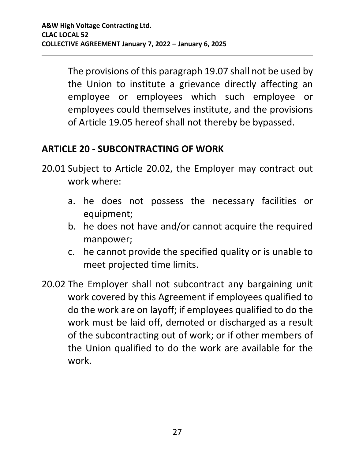The provisions of this paragraph 19.07 shall not be used by the Union to institute a grievance directly affecting an employee or employees which such employee or employees could themselves institute, and the provisions of Article 19.05 hereof shall not thereby be bypassed.

#### <span id="page-29-0"></span>**ARTICLE 20 - SUBCONTRACTING OF WORK**

- 20.01 Subject to Article [20.02,](#page-29-1) the Employer may contract out work where:
	- a. he does not possess the necessary facilities or equipment;
	- b. he does not have and/or cannot acquire the required manpower;
	- c. he cannot provide the specified quality or is unable to meet projected time limits.
- <span id="page-29-1"></span>20.02 The Employer shall not subcontract any bargaining unit work covered by this Agreement if employees qualified to do the work are on layoff; if employees qualified to do the work must be laid off, demoted or discharged as a result of the subcontracting out of work; or if other members of the Union qualified to do the work are available for the work.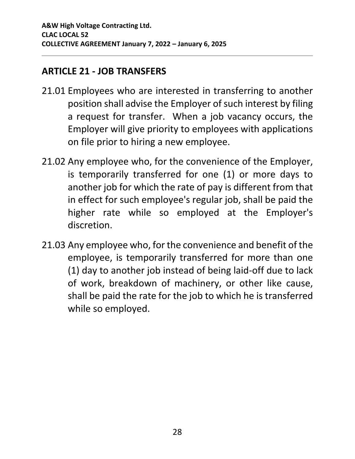#### <span id="page-30-0"></span>**ARTICLE 21 - JOB TRANSFERS**

- 21.01 Employees who are interested in transferring to another position shall advise the Employer of such interest by filing a request for transfer. When a job vacancy occurs, the Employer will give priority to employees with applications on file prior to hiring a new employee.
- 21.02 Any employee who, for the convenience of the Employer, is temporarily transferred for one (1) or more days to another job for which the rate of pay is different from that in effect for such employee's regular job, shall be paid the higher rate while so employed at the Employer's discretion.
- 21.03 Any employee who, for the convenience and benefit of the employee, is temporarily transferred for more than one (1) day to another job instead of being laid-off due to lack of work, breakdown of machinery, or other like cause, shall be paid the rate for the job to which he is transferred while so employed.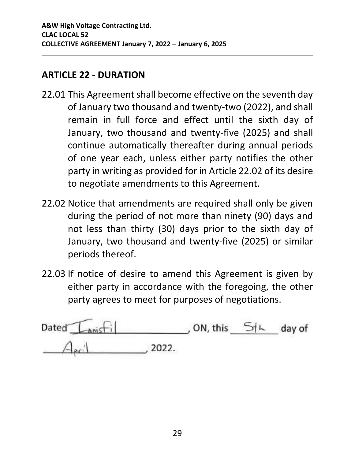#### <span id="page-31-0"></span>**ARTICLE 22 - DURATION**

- 22.01 This Agreement shall become effective on the seventh day of January two thousand and twenty-two (2022), and shall remain in full force and effect until the sixth day of January, two thousand and twenty-five (2025) and shall continue automatically thereafter during annual periods of one year each, unless either party notifies the other party in writing as provided for in Article [22.02](#page-31-1) of its desire to negotiate amendments to this Agreement.
- <span id="page-31-1"></span>22.02 Notice that amendments are required shall only be given during the period of not more than ninety (90) days and not less than thirty (30) days prior to the sixth day of January, two thousand and twenty-five (2025) or similar periods thereof.
- 22.03 If notice of desire to amend this Agreement is given by either party in accordance with the foregoing, the other party agrees to meet for purposes of negotiations.

| Dated $L_{\text{no}}$ |       | , ON, this | 51 <sub>k</sub> | day of |
|-----------------------|-------|------------|-----------------|--------|
|                       | 2022. |            |                 |        |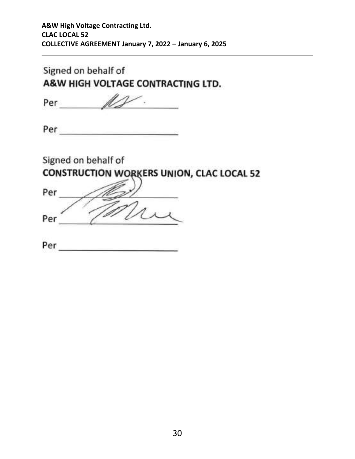#### Signed on behalf of A&W HIGH VOLTAGE CONTRACTING LTD.

Per  $\mathbb{Z}$ ۰.

Per and the second service of the series of the series of the series of the series of the series of the series

Signed on behalf of

**CONSTRUCTION WORKERS UNION, CLAC LOCAL 52** 

| Per |  |
|-----|--|
|     |  |
| Per |  |

| Per |  |  |  |  |
|-----|--|--|--|--|
|     |  |  |  |  |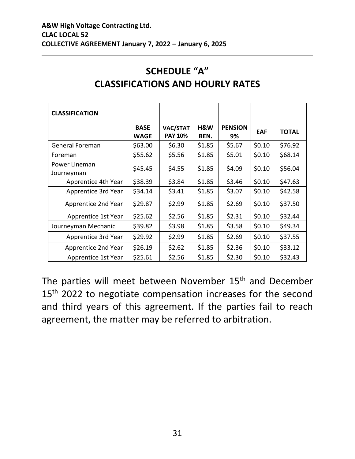<span id="page-33-1"></span><span id="page-33-0"></span>

| <b>CLASSIFICATION</b>       |                            |                            |             |                      |        |              |
|-----------------------------|----------------------------|----------------------------|-------------|----------------------|--------|--------------|
|                             | <b>BASE</b><br><b>WAGE</b> | VAC/STAT<br><b>PAY 10%</b> | H&W<br>BEN. | <b>PENSION</b><br>9% | EAF    | <b>TOTAL</b> |
| General Foreman             | \$63.00                    | \$6.30                     | \$1.85      | \$5.67               | \$0.10 | \$76.92      |
| Foreman                     | \$55.62                    | \$5.56                     | \$1.85      | \$5.01               | \$0.10 | \$68.14      |
| Power Lineman<br>Journeyman | \$45.45                    | \$4.55                     | \$1.85      | \$4.09               | \$0.10 | \$56.04      |
| Apprentice 4th Year         | \$38.39                    | \$3.84                     | \$1.85      | \$3.46               | \$0.10 | \$47.63      |
| Apprentice 3rd Year         | \$34.14                    | \$3.41                     | \$1.85      | \$3.07               | \$0.10 | \$42.58      |
| Apprentice 2nd Year         | \$29.87                    | \$2.99                     | \$1.85      | \$2.69               | \$0.10 | \$37.50      |
| Apprentice 1st Year         | \$25.62                    | \$2.56                     | \$1.85      | \$2.31               | \$0.10 | \$32.44      |
| Journeyman Mechanic         | \$39.82                    | \$3.98                     | \$1.85      | \$3.58               | \$0.10 | \$49.34      |
| Apprentice 3rd Year         | \$29.92                    | \$2.99                     | \$1.85      | \$2.69               | \$0.10 | \$37.55      |
| Apprentice 2nd Year         | \$26.19                    | \$2.62                     | \$1.85      | \$2.36               | \$0.10 | \$33.12      |
| Apprentice 1st Year         | \$25.61                    | \$2.56                     | \$1.85      | \$2.30               | \$0.10 | \$32.43      |

#### **SCHEDULE "A" CLASSIFICATIONS AND HOURLY RATES**

The parties will meet between November 15<sup>th</sup> and December 15<sup>th</sup> 2022 to negotiate compensation increases for the second and third years of this agreement. If the parties fail to reach agreement, the matter may be referred to arbitration.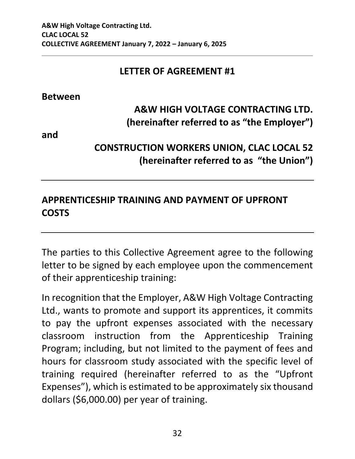#### **LETTER OF AGREEMENT #1**

**Between**

#### **A&W HIGH VOLTAGE CONTRACTING LTD. (hereinafter referred to as "the Employer")**

**and**

#### **CONSTRUCTION WORKERS UNION, CLAC LOCAL 52 (hereinafter referred to as "the Union")**

#### **APPRENTICESHIP TRAINING AND PAYMENT OF UPFRONT COSTS**

The parties to this Collective Agreement agree to the following letter to be signed by each employee upon the commencement of their apprenticeship training:

In recognition that the Employer, A&W High Voltage Contracting Ltd., wants to promote and support its apprentices, it commits to pay the upfront expenses associated with the necessary classroom instruction from the Apprenticeship Training Program; including, but not limited to the payment of fees and hours for classroom study associated with the specific level of training required (hereinafter referred to as the "Upfront Expenses"), which is estimated to be approximately six thousand dollars (\$6,000.00) per year of training.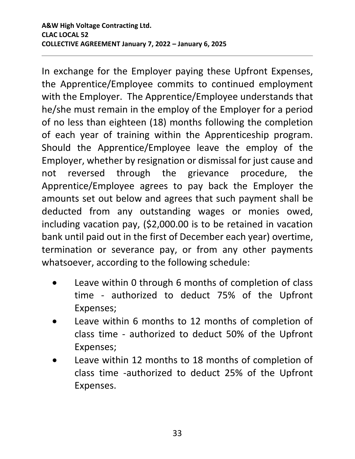In exchange for the Employer paying these Upfront Expenses, the Apprentice/Employee commits to continued employment with the Employer. The Apprentice/Employee understands that he/she must remain in the employ of the Employer for a period of no less than eighteen (18) months following the completion of each year of training within the Apprenticeship program. Should the Apprentice/Employee leave the employ of the Employer, whether by resignation or dismissal for just cause and not reversed through the grievance procedure, the Apprentice/Employee agrees to pay back the Employer the amounts set out below and agrees that such payment shall be deducted from any outstanding wages or monies owed, including vacation pay, (\$2,000.00 is to be retained in vacation bank until paid out in the first of December each year) overtime, termination or severance pay, or from any other payments whatsoever, according to the following schedule:

- Leave within 0 through 6 months of completion of class time - authorized to deduct 75% of the Upfront Expenses;
- Leave within 6 months to 12 months of completion of class time - authorized to deduct 50% of the Upfront Expenses;
- Leave within 12 months to 18 months of completion of class time -authorized to deduct 25% of the Upfront Expenses.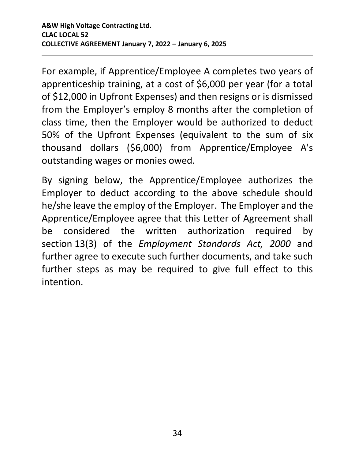For example, if Apprentice/Employee A completes two years of apprenticeship training, at a cost of \$6,000 per year (for a total of \$12,000 in Upfront Expenses) and then resigns or is dismissed from the Employer's employ 8 months after the completion of class time, then the Employer would be authorized to deduct 50% of the Upfront Expenses (equivalent to the sum of six thousand dollars (\$6,000) from Apprentice/Employee A's outstanding wages or monies owed.

By signing below, the Apprentice/Employee authorizes the Employer to deduct according to the above schedule should he/she leave the employ of the Employer. The Employer and the Apprentice/Employee agree that this Letter of Agreement shall be considered the written authorization required by section 13(3) of the *Employment Standards Act, 2000* and further agree to execute such further documents, and take such further steps as may be required to give full effect to this intention.